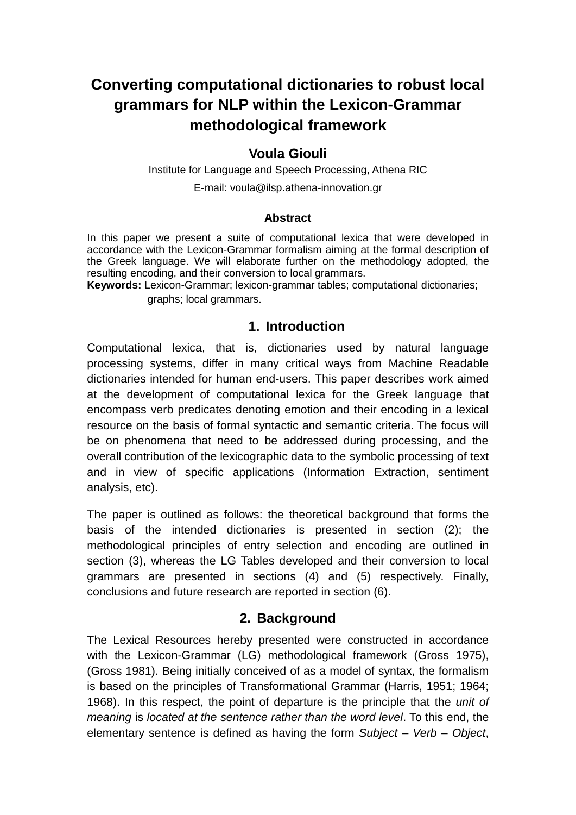# **Converting computational dictionaries to robust local grammars for NLP within the Lexicon-Grammar methodological framework**

## **Voula Giouli**

Institute for Language and Speech Processing, Athena RIC

E-mail: voula@ilsp.athena-innovation.gr

#### **Abstract**

In this paper we present a suite of computational lexica that were developed in accordance with the Lexicon-Grammar formalism aiming at the formal description of the Greek language. We will elaborate further on the methodology adopted, the resulting encoding, and their conversion to local grammars.

**Keywords:** Lexicon-Grammar; lexicon-grammar tables; computational dictionaries;

graphs; local grammars.

## **1. Introduction**

Computational lexica, that is, dictionaries used by natural language processing systems, differ in many critical ways from Machine Readable dictionaries intended for human end-users. This paper describes work aimed at the development of computational lexica for the Greek language that encompass verb predicates denoting emotion and their encoding in a lexical resource on the basis of formal syntactic and semantic criteria. The focus will be on phenomena that need to be addressed during processing, and the overall contribution of the lexicographic data to the symbolic processing of text and in view of specific applications (Information Extraction, sentiment analysis, etc).

The paper is outlined as follows: the theoretical background that forms the basis of the intended dictionaries is presented in section (2); the methodological principles of entry selection and encoding are outlined in section (3), whereas the LG Tables developed and their conversion to local grammars are presented in sections (4) and (5) respectively. Finally, conclusions and future research are reported in section (6).

#### **2. Background**

The Lexical Resources hereby presented were constructed in accordance with the Lexicon-Grammar (LG) methodological framework (Gross 1975), (Gross 1981). Being initially conceived of as a model of syntax, the formalism is based on the principles of Transformational Grammar (Harris, 1951; 1964; 1968). In this respect, the point of departure is the principle that the *unit of meaning* is *located at the sentence rather than the word level*. To this end, the elementary sentence is defined as having the form *Subject – Verb – Object*,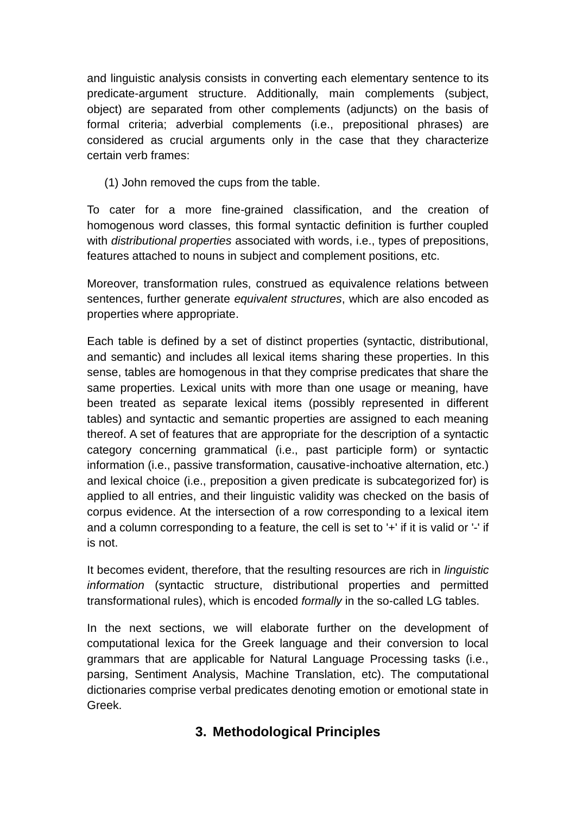and linguistic analysis consists in converting each elementary sentence to its predicate-argument structure. Additionally, main complements (subject, object) are separated from other complements (adjuncts) on the basis of formal criteria; adverbial complements (i.e., prepositional phrases) are considered as crucial arguments only in the case that they characterize certain verb frames:

(1) John removed the cups from the table.

To cater for a more fine-grained classification, and the creation of homogenous word classes, this formal syntactic definition is further coupled with *distributional properties* associated with words, i.e., types of prepositions, features attached to nouns in subject and complement positions, etc.

Moreover, transformation rules, construed as equivalence relations between sentences, further generate *equivalent structures*, which are also encoded as properties where appropriate.

Each table is defined by a set of distinct properties (syntactic, distributional, and semantic) and includes all lexical items sharing these properties. In this sense, tables are homogenous in that they comprise predicates that share the same properties. Lexical units with more than one usage or meaning, have been treated as separate lexical items (possibly represented in different tables) and syntactic and semantic properties are assigned to each meaning thereof. A set of features that are appropriate for the description of a syntactic category concerning grammatical (i.e., past participle form) or syntactic information (i.e., passive transformation, causative-inchoative alternation, etc.) and lexical choice (i.e., preposition a given predicate is subcategorized for) is applied to all entries, and their linguistic validity was checked on the basis of corpus evidence. At the intersection of a row corresponding to a lexical item and a column corresponding to a feature, the cell is set to '+' if it is valid or '-' if is not.

It becomes evident, therefore, that the resulting resources are rich in *linguistic information* (syntactic structure, distributional properties and permitted transformational rules), which is encoded *formally* in the so-called LG tables.

In the next sections, we will elaborate further on the development of computational lexica for the Greek language and their conversion to local grammars that are applicable for Natural Language Processing tasks (i.e., parsing, Sentiment Analysis, Machine Translation, etc). The computational dictionaries comprise verbal predicates denoting emotion or emotional state in Greek.

## **3. Methodological Principles**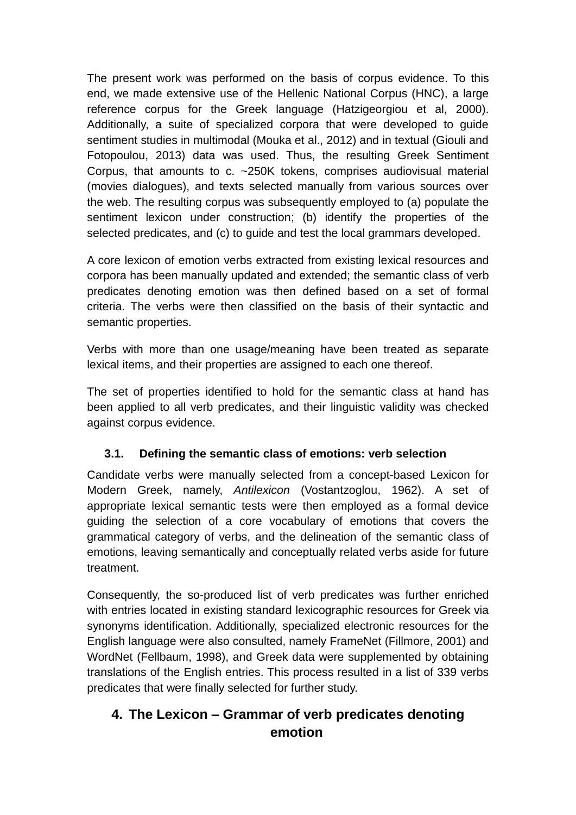The present work was performed on the basis of corpus evidence. To this end, we made extensive use of the Hellenic National Corpus (HNC), a large reference corpus for the Greek language (Hatzigeorgiou et al, 2000). Additionally, a suite of specialized corpora that were developed to guide sentiment studies in multimodal (Mouka et al., 2012) and in textual (Giouli and Fotopoulou, 2013) data was used. Thus, the resulting Greek Sentiment Corpus, that amounts to c. ~250K tokens, comprises audiovisual material (movies dialogues), and texts selected manually from various sources over the web. The resulting corpus was subsequently employed to (a) populate the sentiment lexicon under construction; (b) identify the properties of the selected predicates, and (c) to guide and test the local grammars developed.

A core lexicon of emotion verbs extracted from existing lexical resources and corpora has been manually updated and extended; the semantic class of verb predicates denoting emotion was then defined based on a set of formal criteria. The verbs were then classified on the basis of their syntactic and semantic properties.

Verbs with more than one usage/meaning have been treated as separate lexical items, and their properties are assigned to each one thereof.

The set of properties identified to hold for the semantic class at hand has been applied to all verb predicates, and their linguistic validity was checked against corpus evidence.

#### **3.1. Defining the semantic class of emotions: verb selection**

Candidate verbs were manually selected from a concept-based Lexicon for Modern Greek, namely, *Antilexicon* (Vostantzoglou, 1962). A set of appropriate lexical semantic tests were then employed as a formal device guiding the selection of a core vocabulary of emotions that covers the grammatical category of verbs, and the delineation of the semantic class of emotions, leaving semantically and conceptually related verbs aside for future treatment.

Consequently, the so-produced list of verb predicates was further enriched with entries located in existing standard lexicographic resources for Greek via synonyms identification. Additionally, specialized electronic resources for the English language were also consulted, namely FrameNet (Fillmore, 2001) and WordNet (Fellbaum, 1998), and Greek data were supplemented by obtaining translations of the English entries. This process resulted in a list of 339 verbs predicates that were finally selected for further study.

## **4. The Lexicon – Grammar of verb predicates denoting emotion**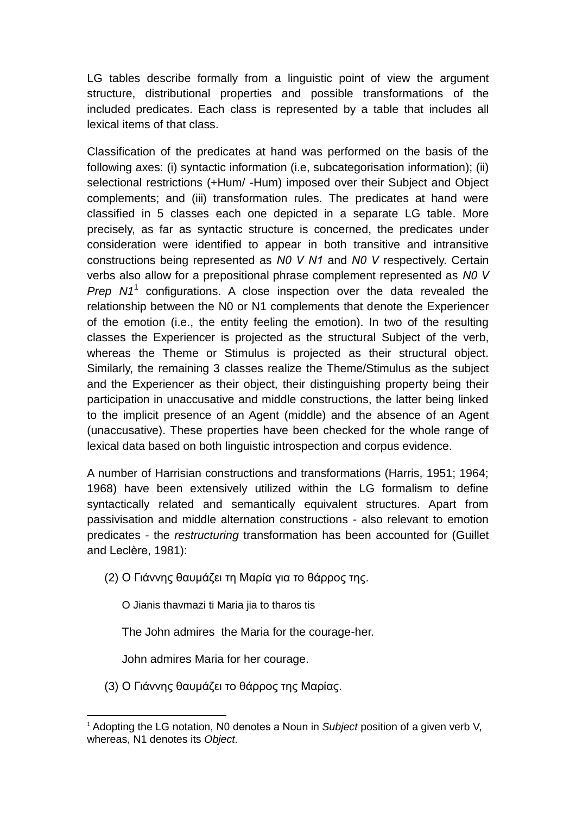LG tables describe formally from a linguistic point of view the argument structure, distributional properties and possible transformations of the included predicates. Each class is represented by a table that includes all lexical items of that class.

Classification of the predicates at hand was performed on the basis of the following axes: (i) syntactic information (i.e, subcategorisation information); (ii) selectional restrictions (+Hum/ -Hum) imposed over their Subject and Object complements; and (iii) transformation rules. The predicates at hand were classified in 5 classes each one depicted in a separate LG table. More precisely, as far as syntactic structure is concerned, the predicates under consideration were identified to appear in both transitive and intransitive constructions being represented as *Ν0 V N1* and *Ν0 V* respectively. Certain verbs also allow for a prepositional phrase complement represented as *Ν0 V*  Prep N1<sup>1</sup> configurations. A close inspection over the data revealed the relationship between the N0 or N1 complements that denote the Experiencer of the emotion (i.e., the entity feeling the emotion). In two of the resulting classes the Experiencer is projected as the structural Subject of the verb, whereas the Theme or Stimulus is projected as their structural object. Similarly, the remaining 3 classes realize the Theme/Stimulus as the subject and the Experiencer as their object, their distinguishing property being their participation in unaccusative and middle constructions, the latter being linked to the implicit presence of an Agent (middle) and the absence of an Agent (unaccusative). These properties have been checked for the whole range of lexical data based on both linguistic introspection and corpus evidence.

A number of Harrisian constructions and transformations (Harris, 1951; 1964; 1968) have been extensively utilized within the LG formalism to define syntactically related and semantically equivalent structures. Apart from passivisation and middle alternation constructions - also relevant to emotion predicates - the *restructuring* transformation has been accounted for (Guillet and Leclère, 1981):

(2) Ο Γιάννης θαυμάζει τη Μαρία για το θάρρος της.

O Jianis thavmazi ti Maria jia to tharos tis

The John admires the Maria for the courage-her.

John admires Maria for her courage.

**.** 

(3) Ο Γιάννης θαυμάζει το θάρρος της Μαρίας.

<sup>&</sup>lt;sup>1</sup> Adopting the LG notation, N0 denotes a Noun in *Subject* position of a given verb V, whereas, N1 denotes its *Object*.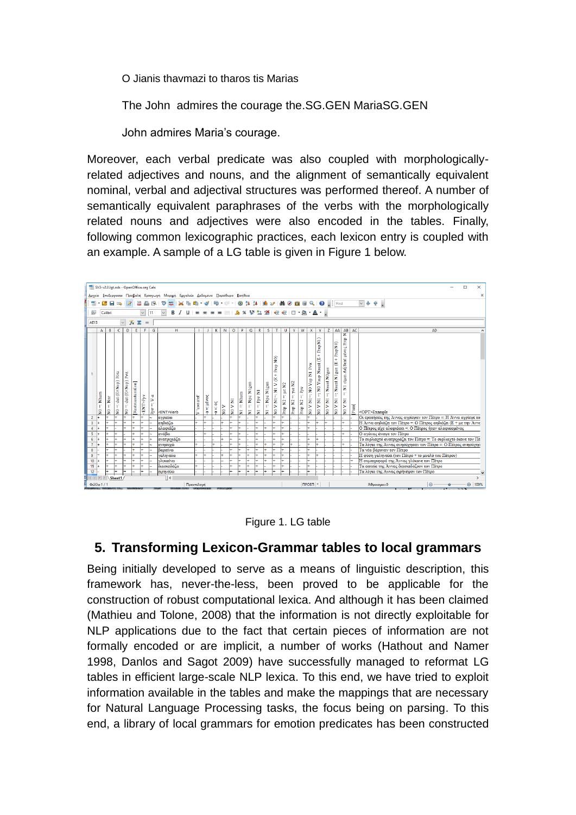O Jianis thavmazi to tharos tis Marias

The John admires the courage the.SG.GEN MariaSG.GEN

John admires Maria's courage.

Moreover, each verbal predicate was also coupled with morphologicallyrelated adjectives and nouns, and the alignment of semantically equivalent nominal, verbal and adjectival structures was performed thereof. A number of semantically equivalent paraphrases of the verbs with the morphologically related nouns and adjectives were also encoded in the tables. Finally, following common lexicographic practices, each lexicon entry is coupled with an example. A sample of a LG table is given in Figure 1 below.



#### Figure 1. LG table

#### **5. Transforming Lexicon-Grammar tables to local grammars**

Being initially developed to serve as a means of linguistic description, this framework has, never-the-less, been proved to be applicable for the construction of robust computational lexica. And although it has been claimed (Mathieu and Tolone, 2008) that the information is not directly exploitable for NLP applications due to the fact that certain pieces of information are not formally encoded or are implicit, a number of works (Hathout and Namer 1998, Danlos and Sagot 2009) have successfully managed to reformat LG tables in efficient large-scale NLP lexica. To this end, we have tried to exploit information available in the tables and make the mappings that are necessary for Natural Language Processing tasks, the focus being on parsing. To this end, a library of local grammars for emotion predicates has been constructed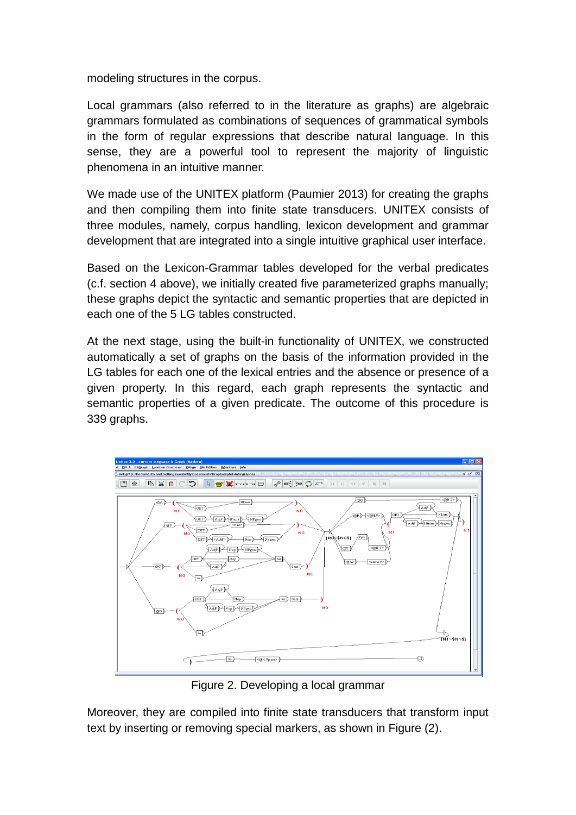modeling structures in the corpus.

Local grammars (also referred to in the literature as graphs) are algebraic grammars formulated as combinations of sequences of grammatical symbols in the form of regular expressions that describe natural language. In this sense, they are a powerful tool to represent the majority of linguistic phenomena in an intuitive manner.

We made use of the UNITEX platform (Paumier 2013) for creating the graphs and then compiling them into finite state transducers. UNITEX consists of three modules, namely, corpus handling, lexicon development and grammar development that are integrated into a single intuitive graphical user interface.

Based on the Lexicon-Grammar tables developed for the verbal predicates (c.f. section 4 above), we initially created five parameterized graphs manually; these graphs depict the syntactic and semantic properties that are depicted in each one of the 5 LG tables constructed.

At the next stage, using the built-in functionality of UNITEX, we constructed automatically a set of graphs on the basis of the information provided in the LG tables for each one of the lexical entries and the absence or presence of a given property. In this regard, each graph represents the syntactic and semantic properties of a given predicate. The outcome of this procedure is 339 graphs.



Figure 2. Developing a local grammar

Moreover, they are compiled into finite state transducers that transform input text by inserting or removing special markers, as shown in Figure (2).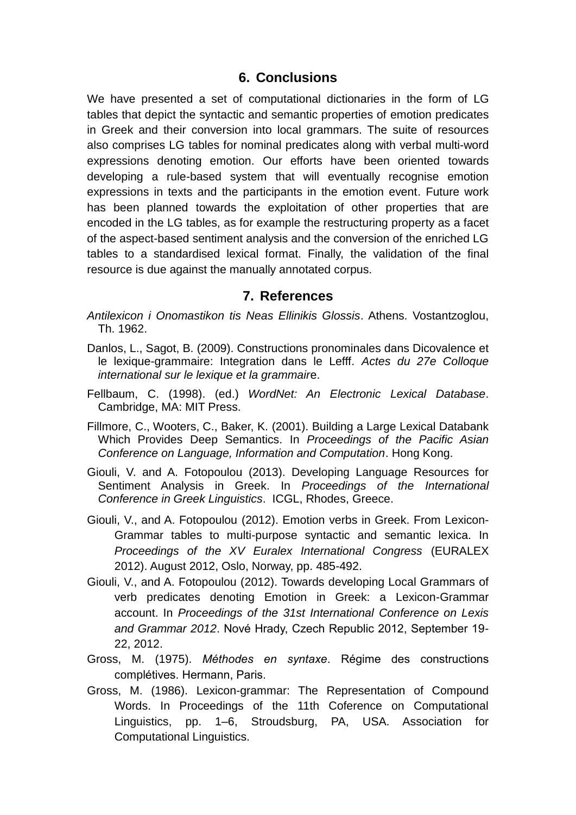#### **6. Conclusions**

We have presented a set of computational dictionaries in the form of LG tables that depict the syntactic and semantic properties of emotion predicates in Greek and their conversion into local grammars. The suite of resources also comprises LG tables for nominal predicates along with verbal multi-word expressions denoting emotion. Our efforts have been oriented towards developing a rule-based system that will eventually recognise emotion expressions in texts and the participants in the emotion event. Future work has been planned towards the exploitation of other properties that are encoded in the LG tables, as for example the restructuring property as a facet of the aspect-based sentiment analysis and the conversion of the enriched LG tables to a standardised lexical format. Finally, the validation of the final resource is due against the manually annotated corpus.

#### **7. References**

- *Antilexicon i Onomastikon tis Neas Ellinikis Glossis*. Athens. Vostantzoglou, Th. 1962.
- Danlos, L., Sagot, B. (2009). Constructions pronominales dans Dicovalence et le lexique-grammaire: Integration dans le Lefff. *Actes du 27e Colloque international sur le lexique et la grammair*e.
- Fellbaum, C. (1998). (ed.) *WordNet: An Electronic Lexical Database*. Cambridge, MA: MIT Press.
- Fillmore, C., Wooters, C., Baker, K. (2001). Building a Large Lexical Databank Which Provides Deep Semantics. In *Proceedings of the Pacific Asian Conference on Language, Information and Computation*. Hong Kong.
- Giouli, V. and A. Fotopoulou (2013). Developing Language Resources for Sentiment Analysis in Greek. In *Proceedings of the International Conference in Greek Linguistics*. ICGL, Rhodes, Greece.
- Giouli, V., and A. Fotopoulou (2012). Emotion verbs in Greek. From Lexicon-Grammar tables to multi-purpose syntactic and semantic lexica. In *Proceedings of the XV Euralex International Congress* (EURALEX 2012). August 2012, Oslo, Norway, pp. 485-492.
- Giouli, V., and A. Fotopoulou (2012). Towards developing Local Grammars of verb predicates denoting Emotion in Greek: a Lexicon-Grammar account. In *Proceedings of the 31st International Conference on Lexis and Grammar 2012*. Nové Hrady, Czech Republic 2012, September 19- 22, 2012.
- Gross, M. (1975). *Méthodes en syntaxe*. Régime des constructions complétives. Hermann, Paris.
- Gross, M. (1986). Lexicon-grammar: The Representation of Compound Words. In Proceedings of the 11th Coference on Computational Linguistics, pp. 1–6, Stroudsburg, PA, USA. Association for Computational Linguistics.